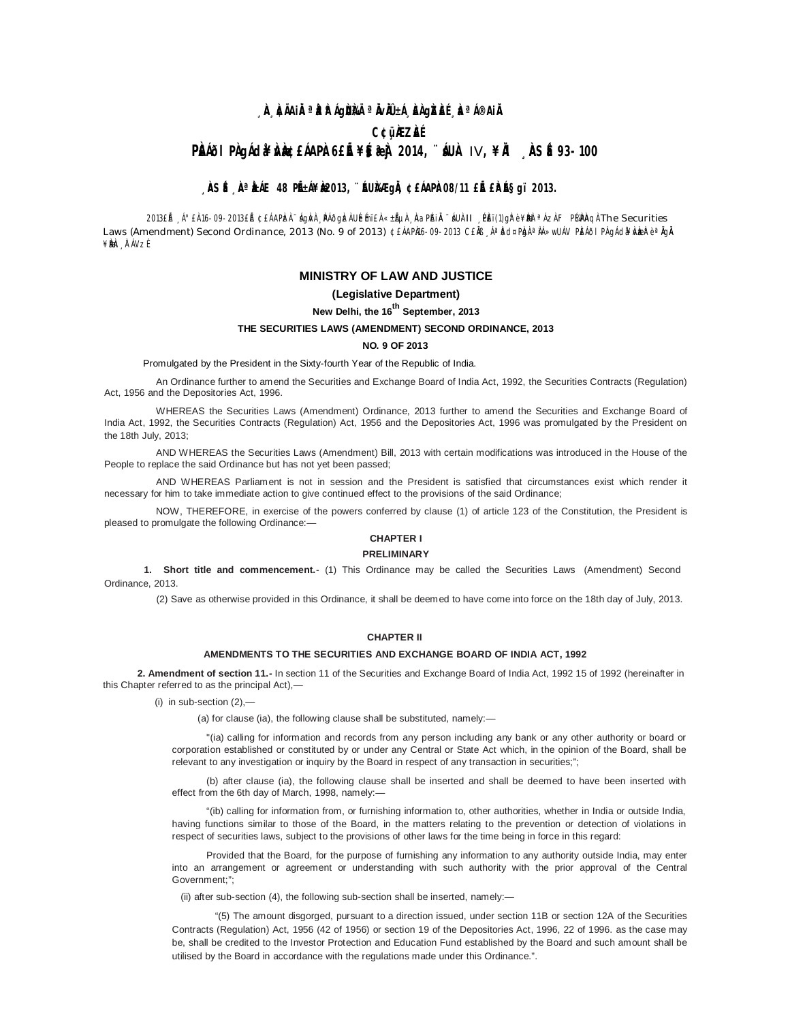# <sub>→</sub>À, ÀÃAiÀªÀÀÁgÙÀI ªÄvÀ±Á¸ÀÀgÀÀɸÀªÁ®AiÄ **C¢ü¸ÀÆZÀ£É PÀI<sup>6</sup>I PÀ JI GIA DÀ BLIA PÀISE ¥§ 2014, `` AUÀ IV, ¥IÀ ÀSÉ 93-100**

## **, ÀSÉ À ÀÁE 48 PÉÁ¥À 2013, ¨ÉUÀÆGIÀ, ¢£ÁAPÀ 08/11 £IÉ £À ÉS gï 2013.**

2013£Áº£À 16-09-2013£É ¢£ÁAPÀzÀ ¨ÁgÀÀ ¸PÁÕg ÀzhU LÉmï£ À «±ÁµÀ ¸ÀAaPAI À-'ÁUÀII ¸PÈï(1)gh? ¥ÀbèªÁzÀ F PÁPÀQÀ The Securities Laws (Amendment) Second Ordinance, 2013 (No. 9 of 2013) ¢£ÁAPÀ16-09-2013 C£Ăß "ÁªĎd¤Pb̥) ªÀÁ»wUÁV PEÁðlPÀ gÁd¥Àvæk è ªÀgĂ ¥ÈNen År ÁVzÉ

# **MINISTRY OF LAW AND JUSTICE**

#### **(Legislative Department)**

## **New Delhi, the 16th September, 2013**

## **THE SECURITIES LAWS (AMENDMENT) SECOND ORDINANCE, 2013**

### **NO. 9 OF 2013**

Promulgated by the President in the Sixty-fourth Year of the Republic of India.

An Ordinance further to amend the Securities and Exchange Board of India Act, 1992, the Securities Contracts (Regulation) Act, 1956 and the Depositories Act, 1996.

WHEREAS the Securities Laws (Amendment) Ordinance, 2013 further to amend the Securities and Exchange Board of India Act, 1992, the Securities Contracts (Regulation) Act, 1956 and the Depositories Act, 1996 was promulgated by the President on the 18th July, 2013;

AND WHEREAS the Securities Laws (Amendment) Bill, 2013 with certain modifications was introduced in the House of the People to replace the said Ordinance but has not yet been passed;

AND WHEREAS Parliament is not in session and the President is satisfied that circumstances exist which render it necessary for him to take immediate action to give continued effect to the provisions of the said Ordinance;

NOW, THEREFORE, in exercise of the powers conferred by clause (1) of article 123 of the Constitution, the President is pleased to promulgate the following Ordinance:—

# **CHAPTER I**

#### **PRELIMINARY**

**1. Short title and commencement.**- (1) This Ordinance may be called the Securities Laws (Amendment) Second Ordinance, 2013.

(2) Save as otherwise provided in this Ordinance, it shall be deemed to have come into force on the 18th day of July, 2013.

#### **CHAPTER II**

#### **AMENDMENTS TO THE SECURITIES AND EXCHANGE BOARD OF INDIA ACT, 1992**

**2. Amendment of section 11.-** In section 11 of the Securities and Exchange Board of India Act, 1992 15 of 1992 (hereinafter in this Chapter referred to as the principal Act),—

(i) in sub-section  $(2)$ ,-

(a) for clause (ia), the following clause shall be substituted, namely:—

"(ia) calling for information and records from any person including any bank or any other authority or board or corporation established or constituted by or under any Central or State Act which, in the opinion of the Board, shall be relevant to any investigation or inquiry by the Board in respect of any transaction in securities;";

(b) after clause (ia), the following clause shall be inserted and shall be deemed to have been inserted with effect from the 6th day of March, 1998, namely:—

"(ib) calling for information from, or furnishing information to, other authorities, whether in India or outside India, having functions similar to those of the Board, in the matters relating to the prevention or detection of violations in respect of securities laws, subject to the provisions of other laws for the time being in force in this regard:

Provided that the Board, for the purpose of furnishing any information to any authority outside India, may enter into an arrangement or agreement or understanding with such authority with the prior approval of the Central Government;";

(ii) after sub-section (4), the following sub-section shall be inserted, namely:—

"(5) The amount disgorged, pursuant to a direction issued, under section 11B or section 12A of the Securities Contracts (Regulation) Act, 1956 (42 of 1956) or section 19 of the Depositories Act, 1996, 22 of 1996. as the case may be, shall be credited to the Investor Protection and Education Fund established by the Board and such amount shall be utilised by the Board in accordance with the regulations made under this Ordinance.".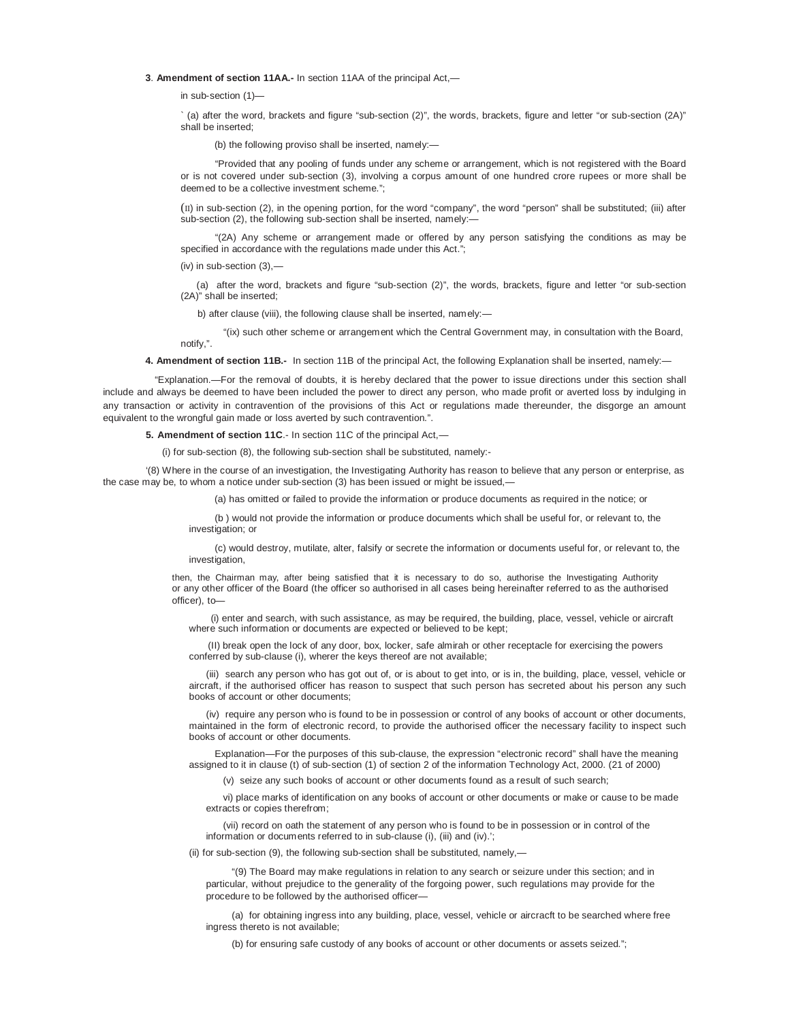**3**. **Amendment of section 11AA.-** In section 11AA of the principal Act,—

in sub-section (1)—

` (a) after the word, brackets and figure "sub-section (2)", the words, brackets, figure and letter "or sub-section (2A)" shall be inserted;

(b) the following proviso shall be inserted, namely:—

"Provided that any pooling of funds under any scheme or arrangement, which is not registered with the Board or is not covered under sub-section (3), involving a corpus amount of one hundred crore rupees or more shall be deemed to be a collective investment scheme.";

(II) in sub-section (2), in the opening portion, for the word "company", the word "person" shall be substituted; (iii) after sub-section (2), the following sub-section shall be inserted, namely:-

"(2A) Any scheme or arrangement made or offered by any person satisfying the conditions as may be specified in accordance with the regulations made under this Act.";

(iv) in sub-section  $(3),$ 

notify,".

(a) after the word, brackets and figure "sub-section (2)", the words, brackets, figure and letter "or sub-section (2A)" shall be inserted;

b) after clause (viii), the following clause shall be inserted, namely:—

"(ix) such other scheme or arrangement which the Central Government may, in consultation with the Board,

**4. Amendment of section 11B.-** In section 11B of the principal Act, the following Explanation shall be inserted, namely:—

"Explanation.—For the removal of doubts, it is hereby declared that the power to issue directions under this section shall include and always be deemed to have been included the power to direct any person, who made profit or averted loss by indulging in any transaction or activity in contravention of the provisions of this Act or regulations made thereunder, the disgorge an amount equivalent to the wrongful gain made or loss averted by such contravention.".

**5. Amendment of section 11C**.- In section 11C of the principal Act,—

(i) for sub-section (8), the following sub-section shall be substituted, namely:-

'(8) Where in the course of an investigation, the Investigating Authority has reason to believe that any person or enterprise, as the case may be, to whom a notice under sub-section (3) has been issued or might be issued,-

(a) has omitted or failed to provide the information or produce documents as required in the notice; or

(b ) would not provide the information or produce documents which shall be useful for, or relevant to, the investigation; or

(c) would destroy, mutilate, alter, falsify or secrete the information or documents useful for, or relevant to, the investigation,

then, the Chairman may, after being satisfied that it is necessary to do so, authorise the Investigating Authority or any other officer of the Board (the officer so authorised in all cases being hereinafter referred to as the authorised officer), to—

(i) enter and search, with such assistance, as may be required, the building, place, vessel, vehicle or aircraft where such information or documents are expected or believed to be kept;

(II) break open the lock of any door, box, locker, safe almirah or other receptacle for exercising the powers conferred by sub-clause (i), wherer the keys thereof are not available;

(iii) search any person who has got out of, or is about to get into, or is in, the building, place, vessel, vehicle or aircraft, if the authorised officer has reason to suspect that such person has secreted about his person any such books of account or other documents;

(iv) require any person who is found to be in possession or control of any books of account or other documents, maintained in the form of electronic record, to provide the authorised officer the necessary facility to inspect such books of account or other documents.

Explanation—For the purposes of this sub-clause, the expression "electronic record" shall have the meaning assigned to it in clause (t) of sub-section (1) of section 2 of the information Technology Act, 2000. (21 of 2000)

(v) seize any such books of account or other documents found as a result of such search;

vi) place marks of identification on any books of account or other documents or make or cause to be made extracts or copies therefrom;

(vii) record on oath the statement of any person who is found to be in possession or in control of the information or documents referred to in sub-clause (i), (iii) and (iv).';

(ii) for sub-section (9), the following sub-section shall be substituted, namely,—

"(9) The Board may make regulations in relation to any search or seizure under this section; and in particular, without prejudice to the generality of the forgoing power, such regulations may provide for the procedure to be followed by the authorised officer—

(a) for obtaining ingress into any building, place, vessel, vehicle or aircracft to be searched where free ingress thereto is not available;

(b) for ensuring safe custody of any books of account or other documents or assets seized.";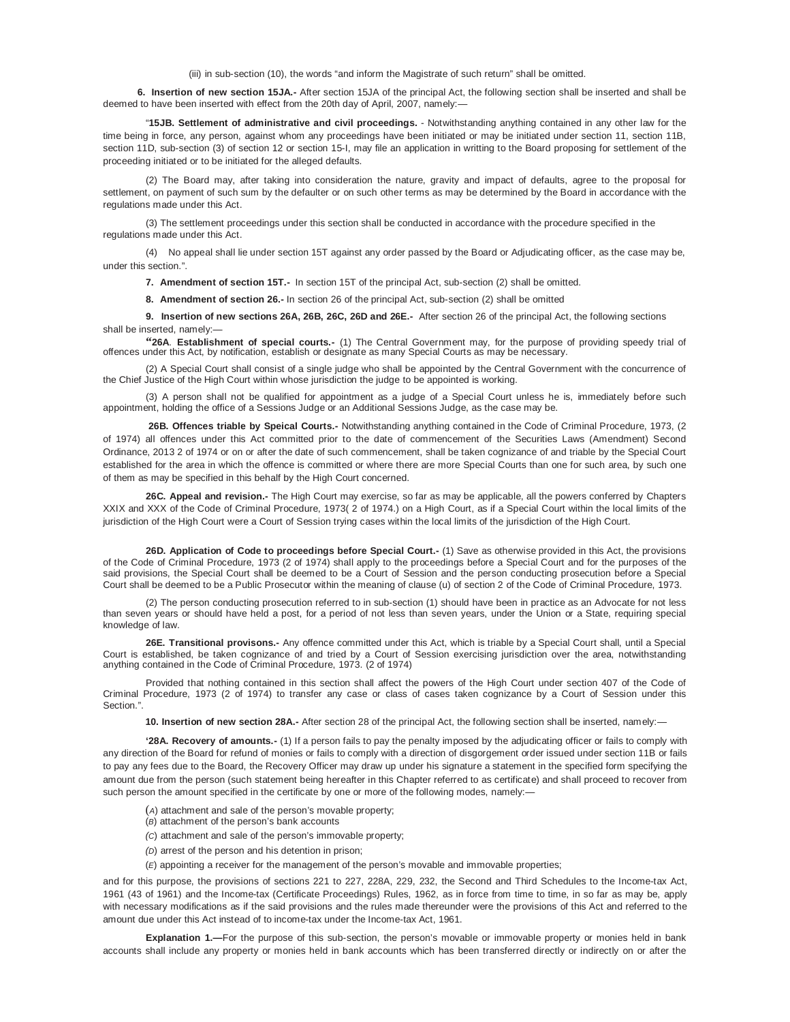(iii) in sub-section (10), the words "and inform the Magistrate of such return" shall be omitted.

**6. Insertion of new section 15JA.-** After section 15JA of the principal Act, the following section shall be inserted and shall be deemed to have been inserted with effect from the 20th day of April, 2007, namely:—

"**15JB. Settlement of administrative and civil proceedings.** - Notwithstanding anything contained in any other law for the time being in force, any person, against whom any proceedings have been initiated or may be initiated under section 11, section 11B, section 11D, sub-section (3) of section 12 or section 15-I, may file an application in writting to the Board proposing for settlement of the proceeding initiated or to be initiated for the alleged defaults.

(2) The Board may, after taking into consideration the nature, gravity and impact of defaults, agree to the proposal for settlement, on payment of such sum by the defaulter or on such other terms as may be determined by the Board in accordance with the regulations made under this Act.

(3) The settlement proceedings under this section shall be conducted in accordance with the procedure specified in the regulations made under this Act.

(4) No appeal shall lie under section 15T against any order passed by the Board or Adjudicating officer, as the case may be, under this section.".

**7. Amendment of section 15T.-** In section 15T of the principal Act, sub-section (2) shall be omitted.

**8. Amendment of section 26.-** In section 26 of the principal Act, sub-section (2) shall be omitted

**9. Insertion of new sections 26A, 26B, 26C, 26D and 26E.-** After section 26 of the principal Act, the following sections shall be inserted, namely:—

**"26A**. **Establishment of special courts.-** (1) The Central Government may, for the purpose of providing speedy trial of offences under this Act, by notification, establish or designate as many Special Courts as may be necessary.

(2) A Special Court shall consist of a single judge who shall be appointed by the Central Government with the concurrence of the Chief Justice of the High Court within whose jurisdiction the judge to be appointed is working.

(3) A person shall not be qualified for appointment as a judge of a Special Court unless he is, immediately before such appointment, holding the office of a Sessions Judge or an Additional Sessions Judge, as the case may be.

**26B. Offences triable by Speical Courts.-** Notwithstanding anything contained in the Code of Criminal Procedure, 1973, (2 of 1974) all offences under this Act committed prior to the date of commencement of the Securities Laws (Amendment) Second Ordinance, 2013 2 of 1974 or on or after the date of such commencement, shall be taken cognizance of and triable by the Special Court established for the area in which the offence is committed or where there are more Special Courts than one for such area, by such one of them as may be specified in this behalf by the High Court concerned.

**26C. Appeal and revision.-** The High Court may exercise, so far as may be applicable, all the powers conferred by Chapters XXIX and XXX of the Code of Criminal Procedure, 1973( 2 of 1974.) on a High Court, as if a Special Court within the local limits of the jurisdiction of the High Court were a Court of Session trying cases within the local limits of the jurisdiction of the High Court.

**26D. Application of Code to proceedings before Special Court.-** (1) Save as otherwise provided in this Act, the provisions of the Code of Criminal Procedure, 1973 (2 of 1974) shall apply to the proceedings before a Special Court and for the purposes of the said provisions, the Special Court shall be deemed to be a Court of Session and the person conducting prosecution before a Special Court shall be deemed to be a Public Prosecutor within the meaning of clause (u) of section 2 of the Code of Criminal Procedure, 1973.

(2) The person conducting prosecution referred to in sub-section (1) should have been in practice as an Advocate for not less than seven years or should have held a post, for a period of not less than seven years, under the Union or a State, requiring special knowledge of law.

**26E. Transitional provisons.-** Any offence committed under this Act, which is triable by a Special Court shall, until a Special Court is established, be taken cognizance of and tried by a Court of Session exercising jurisdiction over the area, notwithstanding anything contained in the Code of Criminal Procedure, 1973. (2 of 1974)

Provided that nothing contained in this section shall affect the powers of the High Court under section 407 of the Code of Criminal Procedure, 1973 (2 of 1974) to transfer any case or class of cases taken cognizance by a Court of Session under this Section.".

**10. Insertion of new section 28A.-** After section 28 of the principal Act, the following section shall be inserted, namely:—

**'28A. Recovery of amounts.-** (1) If a person fails to pay the penalty imposed by the adjudicating officer or fails to comply with any direction of the Board for refund of monies or fails to comply with a direction of disgorgement order issued under section 11B or fails to pay any fees due to the Board, the Recovery Officer may draw up under his signature a statement in the specified form specifying the amount due from the person (such statement being hereafter in this Chapter referred to as certificate) and shall proceed to recover from such person the amount specified in the certificate by one or more of the following modes, namely:-

- (*A*) attachment and sale of the person's movable property;
- (*B*) attachment of the person's bank accounts
- *(C*) attachment and sale of the person's immovable property;
- *(D*) arrest of the person and his detention in prison;
- (*E*) appointing a receiver for the management of the person's movable and immovable properties;

and for this purpose, the provisions of sections 221 to 227, 228A, 229, 232, the Second and Third Schedules to the Income-tax Act, 1961 (43 of 1961) and the Income-tax (Certificate Proceedings) Rules, 1962, as in force from time to time, in so far as may be, apply with necessary modifications as if the said provisions and the rules made thereunder were the provisions of this Act and referred to the amount due under this Act instead of to income-tax under the Income-tax Act, 1961.

**Explanation 1.—**For the purpose of this sub-section, the person's movable or immovable property or monies held in bank accounts shall include any property or monies held in bank accounts which has been transferred directly or indirectly on or after the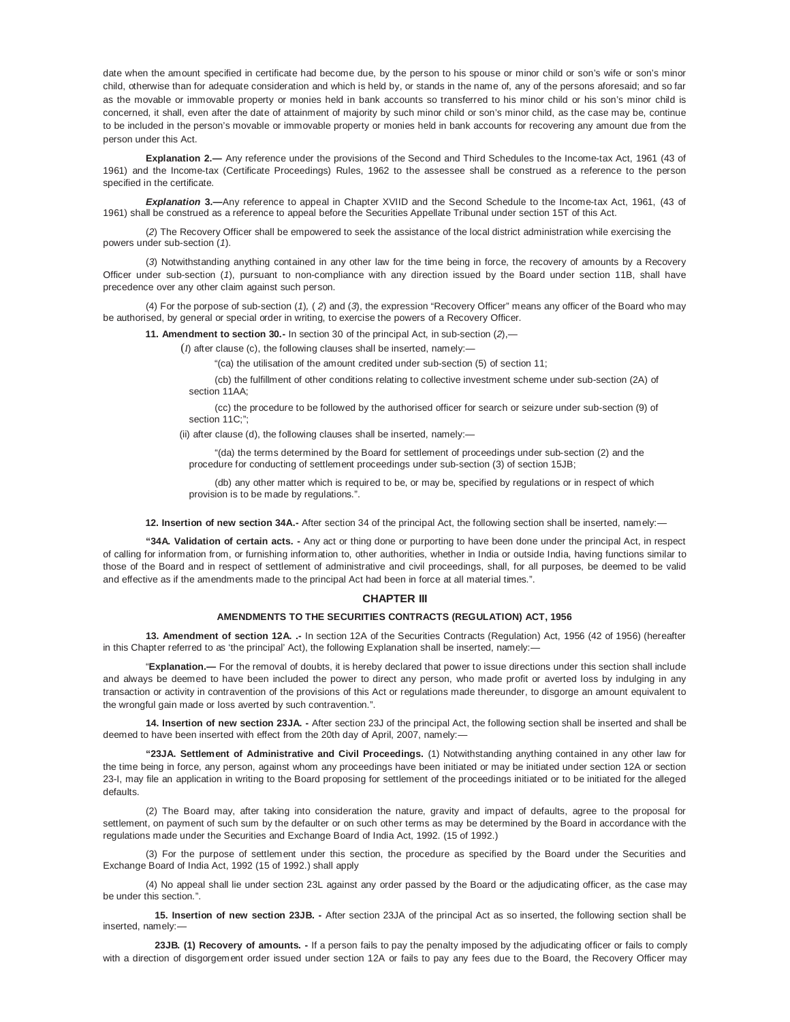date when the amount specified in certificate had become due, by the person to his spouse or minor child or son's wife or son's minor child, otherwise than for adequate consideration and which is held by, or stands in the name of, any of the persons aforesaid; and so far as the movable or immovable property or monies held in bank accounts so transferred to his minor child or his son's minor child is concerned, it shall, even after the date of attainment of majority by such minor child or son's minor child, as the case may be, continue to be included in the person's movable or immovable property or monies held in bank accounts for recovering any amount due from the person under this Act.

**Explanation 2.—** Any reference under the provisions of the Second and Third Schedules to the Income-tax Act, 1961 (43 of 1961) and the Income-tax (Certificate Proceedings) Rules, 1962 to the assessee shall be construed as a reference to the person specified in the certificate.

**Explanation 3.—**Any reference to appeal in Chapter XVIID and the Second Schedule to the Income-tax Act, 1961, (43 of 1961) shall be construed as a reference to appeal before the Securities Appellate Tribunal under section 15T of this Act.

(*2*) The Recovery Officer shall be empowered to seek the assistance of the local district administration while exercising the powers under sub-section (*1*).

(*3*) Notwithstanding anything contained in any other law for the time being in force, the recovery of amounts by a Recovery Officer under sub-section (*1*), pursuant to non-compliance with any direction issued by the Board under section 11B, shall have precedence over any other claim against such person.

(4) For the porpose of sub-section (*1*)*,* ( *2*) and (*3*), the expression "Recovery Officer" means any officer of the Board who may be authorised, by general or special order in writing, to exercise the powers of a Recovery Officer.

**11. Amendment to section 30.-** In section 30 of the principal Act, in sub-section (*2*),—

(*I*) after clause (c), the following clauses shall be inserted, namely:—

"(ca) the utilisation of the amount credited under sub-section (5) of section 11;

(cb) the fulfillment of other conditions relating to collective investment scheme under sub-section (2A) of section 11AA;

(cc) the procedure to be followed by the authorised officer for search or seizure under sub-section (9) of section 11C;";

(ii) after clause (d), the following clauses shall be inserted, namely:—

"(da) the terms determined by the Board for settlement of proceedings under sub-section (2) and the procedure for conducting of settlement proceedings under sub-section (3) of section 15JB;

(db) any other matter which is required to be, or may be, specified by regulations or in respect of which provision is to be made by regulations.".

**12. Insertion of new section 34A.-** After section 34 of the principal Act, the following section shall be inserted, namely:—

**"34A. Validation of certain acts. -** Any act or thing done or purporting to have been done under the principal Act, in respect of calling for information from, or furnishing information to, other authorities, whether in India or outside India, having functions similar to those of the Board and in respect of settlement of administrative and civil proceedings, shall, for all purposes, be deemed to be valid and effective as if the amendments made to the principal Act had been in force at all material times.".

#### **CHAPTER III**

## **AMENDMENTS TO THE SECURITIES CONTRACTS (REGULATION) ACT, 1956**

**13. Amendment of section 12A. .-** In section 12A of the Securities Contracts (Regulation) Act, 1956 (42 of 1956) (hereafter in this Chapter referred to as 'the principal' Act), the following Explanation shall be inserted, namely:-

"**Explanation.—** For the removal of doubts, it is hereby declared that power to issue directions under this section shall include and always be deemed to have been included the power to direct any person, who made profit or averted loss by indulging in any transaction or activity in contravention of the provisions of this Act or regulations made thereunder, to disgorge an amount equivalent to the wrongful gain made or loss averted by such contravention.".

**14. Insertion of new section 23JA. -** After section 23J of the principal Act, the following section shall be inserted and shall be deemed to have been inserted with effect from the 20th day of April, 2007, namely:-

**"23JA. Settlement of Administrative and Civil Proceedings.** (1) Notwithstanding anything contained in any other law for the time being in force, any person, against whom any proceedings have been initiated or may be initiated under section 12A or section 23-I, may file an application in writing to the Board proposing for settlement of the proceedings initiated or to be initiated for the alleged defaults.

(2) The Board may, after taking into consideration the nature, gravity and impact of defaults, agree to the proposal for settlement, on payment of such sum by the defaulter or on such other terms as may be determined by the Board in accordance with the regulations made under the Securities and Exchange Board of India Act, 1992. (15 of 1992.)

(3) For the purpose of settlement under this section, the procedure as specified by the Board under the Securities and Exchange Board of India Act, 1992 (15 of 1992.) shall apply

(4) No appeal shall lie under section 23L against any order passed by the Board or the adjudicating officer, as the case may be under this section.".

**15. Insertion of new section 23JB. -** After section 23JA of the principal Act as so inserted, the following section shall be inserted, namely:—

**23JB. (1) Recovery of amounts. -** If a person fails to pay the penalty imposed by the adjudicating officer or fails to comply with a direction of disgorgement order issued under section 12A or fails to pay any fees due to the Board, the Recovery Officer may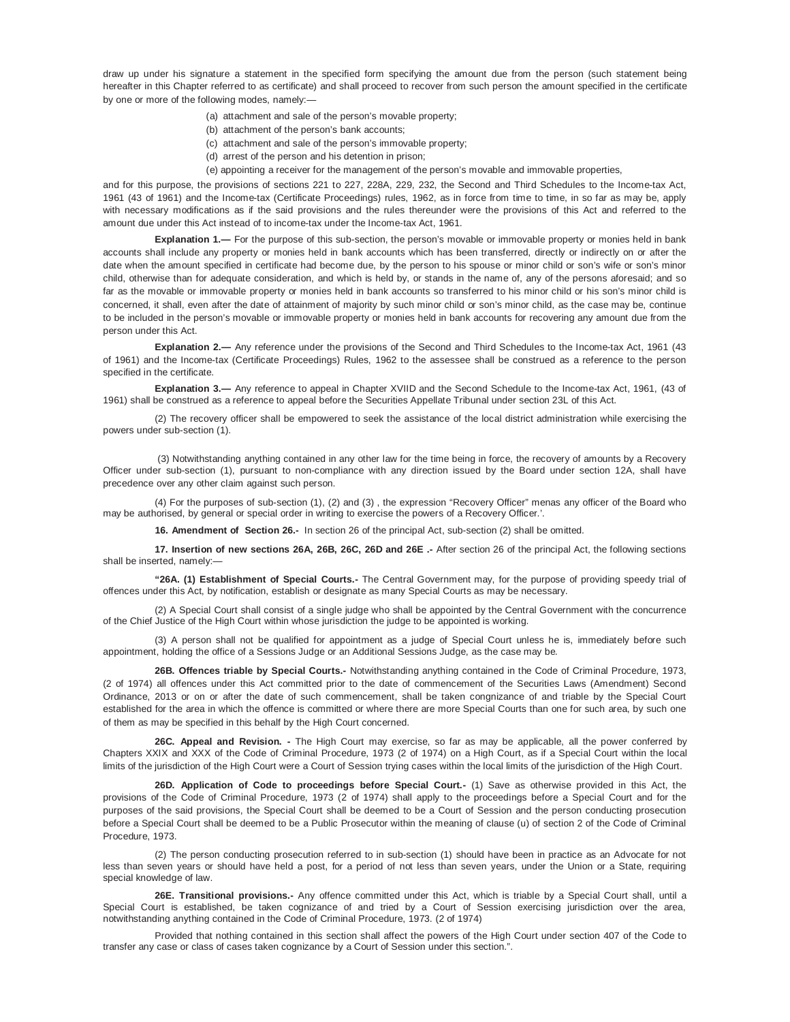draw up under his signature a statement in the specified form specifying the amount due from the person (such statement being hereafter in this Chapter referred to as certificate) and shall proceed to recover from such person the amount specified in the certificate by one or more of the following modes, namely:—

- (a) attachment and sale of the person's movable property;
- (b) attachment of the person's bank accounts;
- (c) attachment and sale of the person's immovable property;
- (d) arrest of the person and his detention in prison;
- (e) appointing a receiver for the management of the person's movable and immovable properties,

and for this purpose, the provisions of sections 221 to 227, 228A, 229, 232, the Second and Third Schedules to the Income-tax Act, 1961 (43 of 1961) and the Income-tax (Certificate Proceedings) rules, 1962, as in force from time to time, in so far as may be, apply with necessary modifications as if the said provisions and the rules thereunder were the provisions of this Act and referred to the amount due under this Act instead of to income-tax under the Income-tax Act, 1961.

**Explanation 1.—** For the purpose of this sub-section, the person's movable or immovable property or monies held in bank accounts shall include any property or monies held in bank accounts which has been transferred, directly or indirectly on or after the date when the amount specified in certificate had become due, by the person to his spouse or minor child or son's wife or son's minor child, otherwise than for adequate consideration, and which is held by, or stands in the name of, any of the persons aforesaid; and so far as the movable or immovable property or monies held in bank accounts so transferred to his minor child or his son's minor child is concerned, it shall, even after the date of attainment of majority by such minor child or son's minor child, as the case may be, continue to be included in the person's movable or immovable property or monies held in bank accounts for recovering any amount due from the person under this Act.

**Explanation 2.—** Any reference under the provisions of the Second and Third Schedules to the Income-tax Act, 1961 (43 of 1961) and the Income-tax (Certificate Proceedings) Rules, 1962 to the assessee shall be construed as a reference to the person specified in the certificate.

**Explanation 3.—** Any reference to appeal in Chapter XVIID and the Second Schedule to the Income-tax Act, 1961, (43 of 1961) shall be construed as a reference to appeal before the Securities Appellate Tribunal under section 23L of this Act.

(2) The recovery officer shall be empowered to seek the assistance of the local district administration while exercising the powers under sub-section (1).

(3) Notwithstanding anything contained in any other law for the time being in force, the recovery of amounts by a Recovery Officer under sub-section (1), pursuant to non-compliance with any direction issued by the Board under section 12A, shall have precedence over any other claim against such person.

(4) For the purposes of sub-section (1), (2) and (3) , the expression "Recovery Officer" menas any officer of the Board who may be authorised, by general or special order in writing to exercise the powers of a Recovery Officer.'.

**16. Amendment of Section 26.-** In section 26 of the principal Act, sub-section (2) shall be omitted.

**17. Insertion of new sections 26A, 26B, 26C, 26D and 26E .-** After section 26 of the principal Act, the following sections shall be inserted, namely:—

**"26A. (1) Establishment of Special Courts.-** The Central Government may, for the purpose of providing speedy trial of offences under this Act, by notification, establish or designate as many Special Courts as may be necessary.

(2) A Special Court shall consist of a single judge who shall be appointed by the Central Government with the concurrence of the Chief Justice of the High Court within whose jurisdiction the judge to be appointed is working.

(3) A person shall not be qualified for appointment as a judge of Special Court unless he is, immediately before such appointment, holding the office of a Sessions Judge or an Additional Sessions Judge, as the case may be.

**26B. Offences triable by Special Courts.-** Notwithstanding anything contained in the Code of Criminal Procedure, 1973, (2 of 1974) all offences under this Act committed prior to the date of commencement of the Securities Laws (Amendment) Second Ordinance, 2013 or on or after the date of such commencement, shall be taken congnizance of and triable by the Special Court established for the area in which the offence is committed or where there are more Special Courts than one for such area, by such one of them as may be specified in this behalf by the High Court concerned.

**26C. Appeal and Revision. -** The High Court may exercise, so far as may be applicable, all the power conferred by Chapters XXIX and XXX of the Code of Criminal Procedure, 1973 (2 of 1974) on a High Court, as if a Special Court within the local limits of the jurisdiction of the High Court were a Court of Session trying cases within the local limits of the jurisdiction of the High Court.

**26D. Application of Code to proceedings before Special Court.-** (1) Save as otherwise provided in this Act, the provisions of the Code of Criminal Procedure, 1973 (2 of 1974) shall apply to the proceedings before a Special Court and for the purposes of the said provisions, the Special Court shall be deemed to be a Court of Session and the person conducting prosecution before a Special Court shall be deemed to be a Public Prosecutor within the meaning of clause (u) of section 2 of the Code of Criminal Procedure, 1973.

(2) The person conducting prosecution referred to in sub-section (1) should have been in practice as an Advocate for not less than seven years or should have held a post, for a period of not less than seven years, under the Union or a State, requiring special knowledge of law.

**26E. Transitional provisions.-** Any offence committed under this Act, which is triable by a Special Court shall, until a Special Court is established, be taken cognizance of and tried by a Court of Session exercising jurisdiction over the area, notwithstanding anything contained in the Code of Criminal Procedure, 1973. (2 of 1974)

Provided that nothing contained in this section shall affect the powers of the High Court under section 407 of the Code to transfer any case or class of cases taken cognizance by a Court of Session under this section.".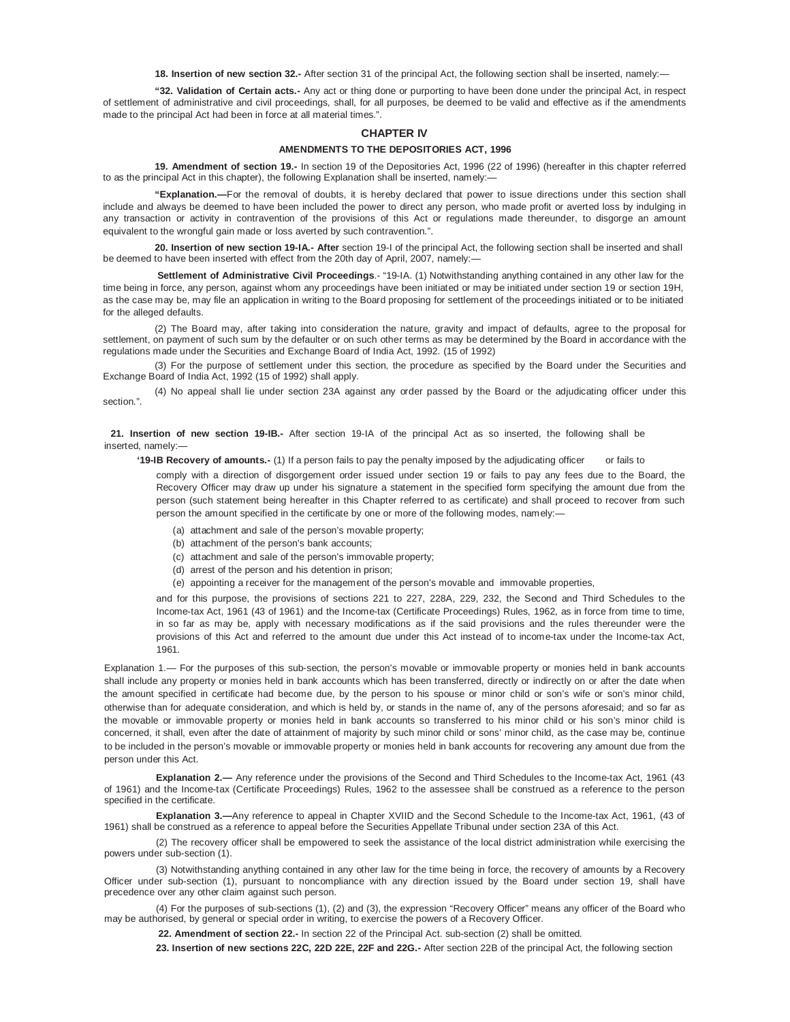**18. Insertion of new section 32.-** After section 31 of the principal Act, the following section shall be inserted, namely:—

**"32. Validation of Certain acts.-** Any act or thing done or purporting to have been done under the principal Act, in respect of settlement of administrative and civil proceedings, shall, for all purposes, be deemed to be valid and effective as if the amendments made to the principal Act had been in force at all material times.".

## **CHAPTER IV**

#### **AMENDMENTS TO THE DEPOSITORIES ACT, 1996**

**19. Amendment of section 19.-** In section 19 of the Depositories Act, 1996 (22 of 1996) (hereafter in this chapter referred to as the principal Act in this chapter), the following Explanation shall be inserted, namely:-

**"Explanation.—**For the removal of doubts, it is hereby declared that power to issue directions under this section shall include and always be deemed to have been included the power to direct any person, who made profit or averted loss by indulging in any transaction or activity in contravention of the provisions of this Act or regulations made thereunder, to disgorge an amount equivalent to the wrongful gain made or loss averted by such contravention.".

**20. Insertion of new section 19-IA.- After** section 19-I of the principal Act, the following section shall be inserted and shall be deemed to have been inserted with effect from the 20th day of April, 2007, namely:-

**Settlement of Administrative Civil Proceedings**.- "19-IA. (1) Notwithstanding anything contained in any other law for the time being in force, any person, against whom any proceedings have been initiated or may be initiated under section 19 or section 19H, as the case may be, may file an application in writing to the Board proposing for settlement of the proceedings initiated or to be initiated for the alleged defaults.

(2) The Board may, after taking into consideration the nature, gravity and impact of defaults, agree to the proposal for settlement, on payment of such sum by the defaulter or on such other terms as may be determined by the Board in accordance with the regulations made under the Securities and Exchange Board of India Act, 1992. (15 of 1992)

(3) For the purpose of settlement under this section, the procedure as specified by the Board under the Securities and Exchange Board of India Act, 1992 (15 of 1992) shall apply.

(4) No appeal shall lie under section 23A against any order passed by the Board or the adjudicating officer under this section.".

**21. Insertion of new section 19-IB.-** After section 19-IA of the principal Act as so inserted, the following shall be inserted, namely:—

**'19-IB Recovery of amounts.-** (1) If a person fails to pay the penalty imposed by the adjudicating officer or fails to comply with a direction of disgorgement order issued under section 19 or fails to pay any fees due to the Board, the Recovery Officer may draw up under his signature a statement in the specified form specifying the amount due from the person (such statement being hereafter in this Chapter referred to as certificate) and shall proceed to recover from such person the amount specified in the certificate by one or more of the following modes, namely:—

- (a) attachment and sale of the person's movable property;
- (b) attachment of the person's bank accounts;
- (c) attachment and sale of the person's immovable property;
- (d) arrest of the person and his detention in prison;
- (e) appointing a receiver for the management of the person's movable and immovable properties,

and for this purpose, the provisions of sections 221 to 227, 228A, 229, 232, the Second and Third Schedules to the Income-tax Act, 1961 (43 of 1961) and the Income-tax (Certificate Proceedings) Rules, 1962, as in force from time to time, in so far as may be, apply with necessary modifications as if the said provisions and the rules thereunder were the provisions of this Act and referred to the amount due under this Act instead of to income-tax under the Income-tax Act, 1961.

Explanation 1.— For the purposes of this sub-section, the person's movable or immovable property or monies held in bank accounts shall include any property or monies held in bank accounts which has been transferred, directly or indirectly on or after the date when the amount specified in certificate had become due, by the person to his spouse or minor child or son's wife or son's minor child, otherwise than for adequate consideration, and which is held by, or stands in the name of, any of the persons aforesaid; and so far as the movable or immovable property or monies held in bank accounts so transferred to his minor child or his son's minor child is concerned, it shall, even after the date of attainment of majority by such minor child or sons' minor child, as the case may be, continue to be included in the person's movable or immovable property or monies held in bank accounts for recovering any amount due from the person under this Act.

**Explanation 2.—** Any reference under the provisions of the Second and Third Schedules to the Income-tax Act, 1961 (43) of 1961) and the Income-tax (Certificate Proceedings) Rules, 1962 to the assessee shall be construed as a reference to the person specified in the certificate.

**Explanation 3.—**Any reference to appeal in Chapter XVIID and the Second Schedule to the Income-tax Act, 1961, (43 of 1961) shall be construed as a reference to appeal before the Securities Appellate Tribunal under section 23A of this Act.

(2) The recovery officer shall be empowered to seek the assistance of the local district administration while exercising the powers under sub-section (1).

(3) Notwithstanding anything contained in any other law for the time being in force, the recovery of amounts by a Recovery Officer under sub-section (1), pursuant to noncompliance with any direction issued by the Board under section 19, shall have precedence over any other claim against such person.

(4) For the purposes of sub-sections (1), (2) and (3), the expression "Recovery Officer" means any officer of the Board who may be authorised, by general or special order in writing, to exercise the powers of a Recovery Officer.

**22. Amendment of section 22.-** In section 22 of the Principal Act. sub-section (2) shall be omitted.

**23. Insertion of new sections 22C, 22D 22E, 22F and 22G.-** After section 22B of the principal Act, the following section